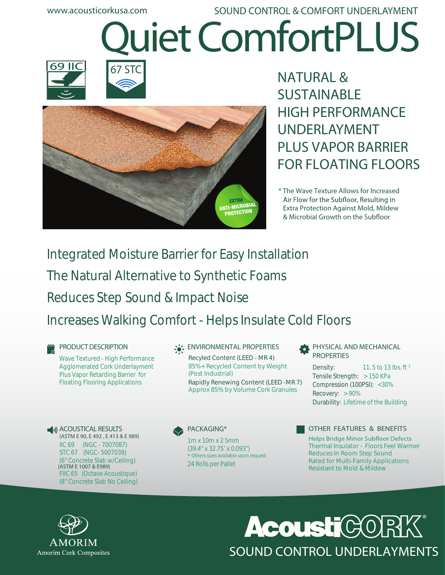**www.acousticorkusa.com**

# **Quiet ComfortPLUS SOUND CONTROL & COMFORT UNDERLAYMENT**







**NATURAL & SUSTAINABLE HIGH PERFORMANCE UNDERLAYMENT PLUS VAPOR BARRIER FOR FLOATING FLOORS**

**\* The Wave Texture Allows for Increased** Air Flow for the Subfloor, Resulting in  **Extra Protection Against Mold, Mildew**  $&$  Microbial Growth on the Subfloor

## Integrated Moisture Barrier for Easy Installation The Natural Alternative to Synthetic Foams

Reduces Step Sound & Impact Noise

## Increases Walking Comfort - Helps Insulate Cold Floors

## **PRODUCT DESCRIPTION**

Wave Textured - High Performance Agglomerated Cork Underlayment Plus Vapor Retarding Barrier for Floating Flooring Applications

**ACOUSTICAL RESULTS (ASTM E 90, E 492 , E 413 & E 989)** IIC 69 (NGC - 7007087) STC 67 (NGC- 5007039) (6" Concrete Slab w/Ceiling) FIIC 65 (Octave Acoustique) (8" Concrete Slab No Ceiling) **(ASTM E 1007 & E989)** 24 Rolls per Pallet

## **ENVIRONMENTAL PROPERTIES**

Recyled Content (LEED - MR 4) 85%+ Recycled Content by Weight (Post Industrial) Rapidly Renewing Content (LEED -MR 7) Approx 85% by Volume Cork Granules

**PACKAGING\***

1m x 10m x 2 5mm (39.4" x 32.75' x 0.093") \* Others sizes available upon request

**PHYSICAL AND MECHANICAL PROPERTIES** 

11. 5 to 13 lbs. ft <sup>3</sup> Tensile Strength: > 150 KPa Compression (100PSI): <30% Recovery: > 90% Durability: Lifetime of the Building Density:



## **OTHER FEATURES & BENEFITS**

**Helps Bridge Minor Subfloor Defects** Thermal Insulator - Floors Feel Warmer Reduces In Room Step Sound Rated for Multi-Family Applications Resistant to Mold & Mildew



## **Acousti**CX0 SOUND CONTROL UNDERLAYMENTS